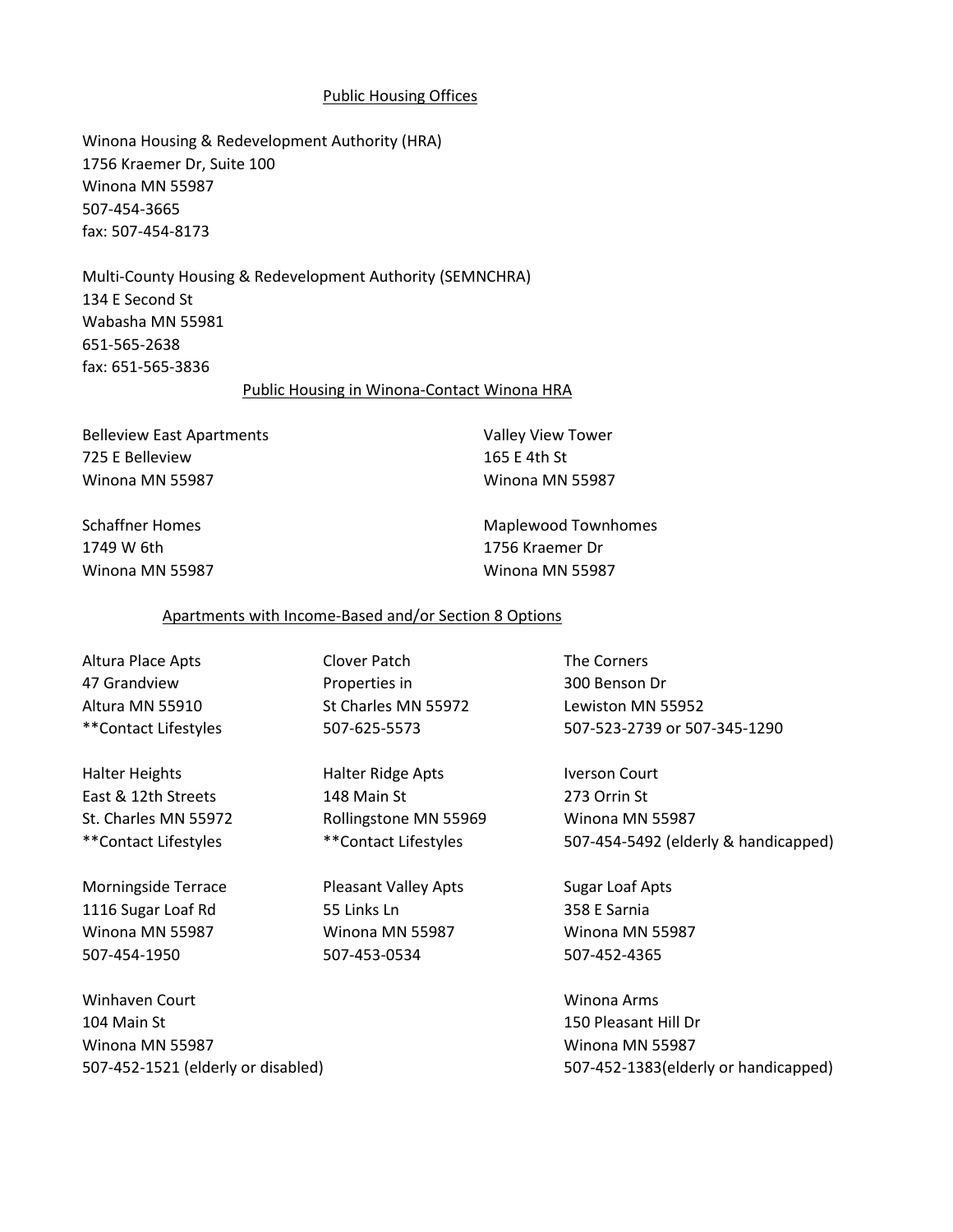# Public Housing Offices

Winona Housing & Redevelopment Authority (HRA) 1756 Kraemer Dr, Suite 100 Winona MN 55987 507-454-3665 fax: 507-454-8173

Multi-County Housing & Redevelopment Authority (SEMNCHRA) 134 E Second St Wabasha MN 55981 651-565-2638 fax: 651-565-3836

#### Public Housing in Winona-Contact Winona HRA

Belleview East Apartments **Valley View Tower** 725 E Belleview 165 E 4th St Winona MN 55987 Winona MN 55987

1749 W 6th 1756 Kraemer Dr Winona MN 55987 Winona MN 55987

Schaffner Homes The Maplewood Townhomes Charles Maplewood Townhomes

# Apartments with Income-Based and/or Section 8 Options

Altura Place Apts Clover Patch The Corners

Halter Heights **Halter Ridge Apts** Iverson Court

Morningside Terrace **Notain Cleasant Valley Apts** Sugar Loaf Apts 1116 Sugar Loaf Rd 55 Links Ln 55 Links Ln 358 E Sarnia Winona MN 55987 Winona MN 55987 Winona MN 55987 507-454-1950 507-453-0534 507-452-4365

Winhaven Court **Windows** Windows Arms 104 Main St 150 Pleasant Hill Dr Winona MN 55987 Winona MN 55987

47 Grandview Properties in 300 Benson Dr Altura MN 55910 St Charles MN 55972 Lewiston MN 55952

East & 12th Streets 148 Main St 273 Orrin St St. Charles MN 55972 Rollingstone MN 55969 Winona MN 55987

\*\*Contact Lifestyles 507-625-5573 507-523-2739 or 507-345-1290

\*\*Contact Lifestyles \*\*Contact Lifestyles 507-454-5492 (elderly & handicapped)

507-452-1521 (elderly or disabled) 507-452-1383(elderly or handicapped)